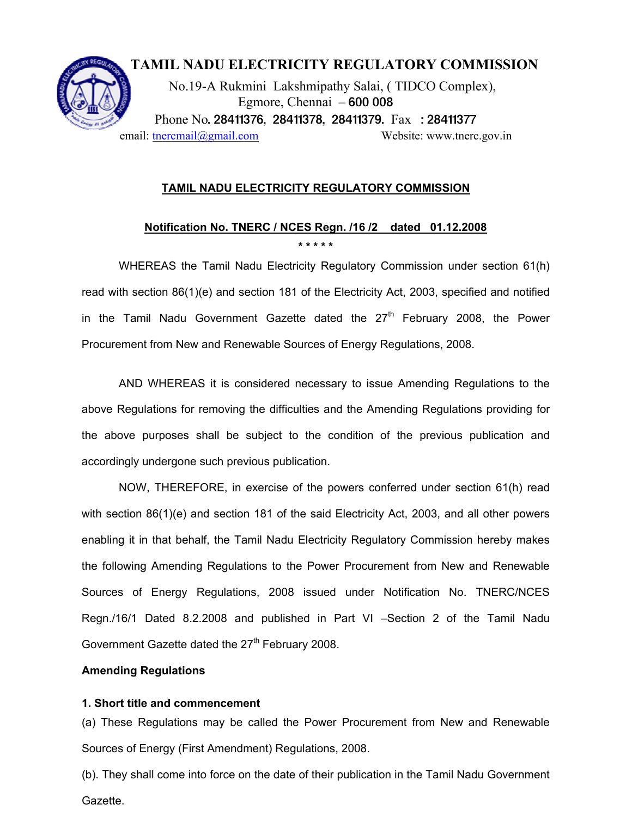

## **TAMIL NADU ELECTRICITY REGULATORY COMMISSION**

 No.19-A Rukmini Lakshmipathy Salai, ( TIDCO Complex), Egmore, Chennai – 600 008 Phone No. 28411376, 28411378, 28411379. Fax : 28411377 email: theremail@gmail.com Website: www.tnerc.gov.in

**TAMIL NADU ELECTRICITY REGULATORY COMMISSION**

## **Notification No. TNERC / NCES Regn. /16 /2 dated 01.12.2008 \* \* \* \* \***

WHEREAS the Tamil Nadu Electricity Regulatory Commission under section 61(h) read with section 86(1)(e) and section 181 of the Electricity Act, 2003, specified and notified in the Tamil Nadu Government Gazette dated the  $27<sup>th</sup>$  February 2008, the Power Procurement from New and Renewable Sources of Energy Regulations, 2008.

AND WHEREAS it is considered necessary to issue Amending Regulations to the above Regulations for removing the difficulties and the Amending Regulations providing for the above purposes shall be subject to the condition of the previous publication and accordingly undergone such previous publication.

NOW, THEREFORE, in exercise of the powers conferred under section 61(h) read with section 86(1)(e) and section 181 of the said Electricity Act, 2003, and all other powers enabling it in that behalf, the Tamil Nadu Electricity Regulatory Commission hereby makes the following Amending Regulations to the Power Procurement from New and Renewable Sources of Energy Regulations, 2008 issued under Notification No. TNERC/NCES Regn./16/1 Dated 8.2.2008 and published in Part VI –Section 2 of the Tamil Nadu Government Gazette dated the 27<sup>th</sup> February 2008.

## **Amending Regulations**

## **1. Short title and commencement**

(a) These Regulations may be called the Power Procurement from New and Renewable Sources of Energy (First Amendment) Regulations, 2008.

(b). They shall come into force on the date of their publication in the Tamil Nadu Government Gazette.